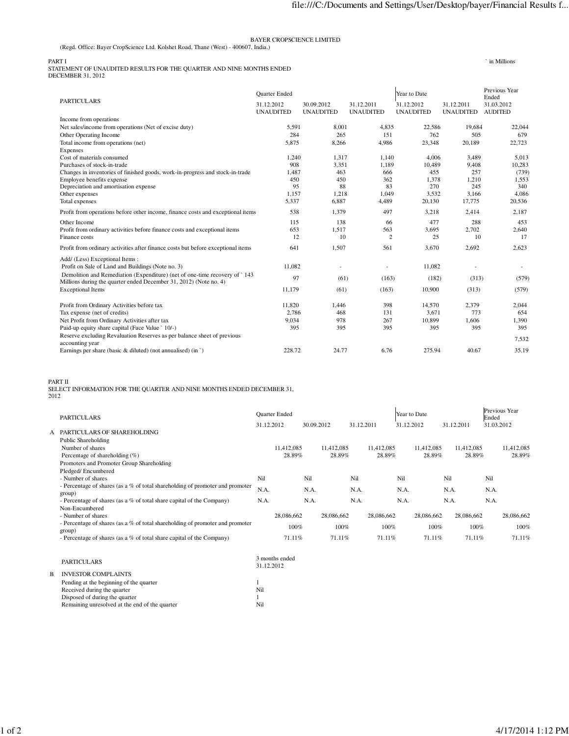## BAYER CROPSCIENCE LIMITED

(Regd. Office: Bayer CropScience Ltd. Kolshet Road, Thane (West) - 400607, India.)

PART I<br>STATEMENT OF UNAUDITED RESULTS FOR THE QUARTER AND NINE MONTHS ENDED<br>DECEMBER 31, 2012

|                                                                                                                                                 | <b>Quarter Ended</b>           |                                |                                | Year to Date                   | Previous Year<br>Ended         |                              |  |
|-------------------------------------------------------------------------------------------------------------------------------------------------|--------------------------------|--------------------------------|--------------------------------|--------------------------------|--------------------------------|------------------------------|--|
| <b>PARTICULARS</b>                                                                                                                              | 31.12.2012<br><b>UNAUDITED</b> | 30.09.2012<br><b>UNAUDITED</b> | 31.12.2011<br><b>UNAUDITED</b> | 31.12.2012<br><b>UNAUDITED</b> | 31.12.2011<br><b>UNAUDITED</b> | 31.03.2012<br><b>AUDITED</b> |  |
| Income from operations                                                                                                                          |                                |                                |                                |                                |                                |                              |  |
| Net sales/income from operations (Net of excise duty)                                                                                           | 5,591                          | 8,001                          | 4,835                          | 22,586                         | 19,684                         | 22,044                       |  |
| Other Operating Income                                                                                                                          | 284                            | 265                            | 151                            | 762                            | 505                            | 679                          |  |
| Total income from operations (net)                                                                                                              | 5,875                          | 8,266                          | 4.986                          | 23,348                         | 20,189                         | 22,723                       |  |
| Expenses                                                                                                                                        |                                |                                |                                |                                |                                |                              |  |
| Cost of materials consumed                                                                                                                      | 1,240                          | 1,317                          | 1,140                          | 4,006                          | 3,489                          | 5,013                        |  |
| Purchases of stock-in-trade                                                                                                                     | 908                            | 3,351                          | 1,189                          | 10,489                         | 9,408                          | 10,283                       |  |
| Changes in inventories of finished goods, work-in-progress and stock-in-trade                                                                   | 1.487                          | 463                            | 666                            | 455                            | 257                            | (739)                        |  |
| Employee benefits expense                                                                                                                       | 450                            | 450                            | 362                            | 1,378                          | 1,210                          | 1,553                        |  |
| Depreciation and amortisation expense                                                                                                           | 95                             | 88                             | 83                             | 270                            | 245                            | 340                          |  |
| Other expenses                                                                                                                                  | 1,157                          | 1.218                          | 1,049                          | 3,532                          | 3.166                          | 4,086                        |  |
| Total expenses                                                                                                                                  | 5,337                          | 6,887                          | 4,489                          | 20,130                         | 17,775                         | 20,536                       |  |
| Profit from operations before other income, finance costs and exceptional items                                                                 | 538                            | 1,379                          | 497                            | 3,218                          | 2,414                          | 2,187                        |  |
| Other Income                                                                                                                                    | 115                            | 138                            | 66                             | 477                            | 288                            | 453                          |  |
| Profit from ordinary activities before finance costs and exceptional items                                                                      | 653                            | 1,517                          | 563                            | 3,695                          | 2,702                          | 2,640                        |  |
| Finance costs                                                                                                                                   | 12                             | 10                             | $\overline{2}$                 | 25                             | 10                             | 17                           |  |
| Profit from ordinary activities after finance costs but before exceptional items                                                                | 641                            | 1,507                          | 561                            | 3,670                          | 2,692                          | 2,623                        |  |
| Add/ (Less) Exceptional Items:                                                                                                                  |                                |                                |                                |                                |                                |                              |  |
| Profit on Sale of Land and Buildings (Note no. 3)                                                                                               | 11,082                         |                                |                                | 11.082                         |                                |                              |  |
| Demolition and Remediation (Expenditure) (net of one-time recovery of `143<br>Millions during the quarter ended December 31, 2012) (Note no. 4) | 97                             | (61)                           | (163)                          | (182)                          | (313)                          | (579)                        |  |
| <b>Exceptional Items</b>                                                                                                                        | 11,179                         | (61)                           | (163)                          | 10,900                         | (313)                          | (579)                        |  |
| Profit from Ordinary Activities before tax                                                                                                      | 11.820                         | 1,446                          | 398                            | 14,570                         | 2,379                          | 2,044                        |  |
| Tax expense (net of credits)                                                                                                                    | 2,786                          | 468                            | 131                            | 3,671                          | 773                            | 654                          |  |
| Net Profit from Ordinary Activities after tax                                                                                                   | 9,034                          | 978                            | 267                            | 10,899                         | 1,606                          | 1,390                        |  |
| Paid-up equity share capital (Face Value ` 10/-)                                                                                                | 395                            | 395                            | 395                            | 395                            | 395                            | 395                          |  |
| Reserve excluding Revaluation Reserves as per balance sheet of previous<br>accounting year                                                      |                                |                                |                                |                                |                                | 7,532                        |  |
| Earnings per share (basic & diluted) (not annualised) (in $\dot{\ }$ )                                                                          | 228.72                         | 24.77                          | 6.76                           | 275.94                         | 40.67                          | 35.19                        |  |
|                                                                                                                                                 |                                |                                |                                |                                |                                |                              |  |

PART II SELECT INFORMATION FOR THE QUARTER AND NINE MONTHS ENDED DECEMBER 31, <sup>2012</sup>

| А | <b>PARTICULARS</b><br>PARTICULARS OF SHAREHOLDING                                                                                                                                                            | 31.12.2012          | Quarter Ended                | 30.09.2012          |                              | 31.12.2011          |                              | 31.12.2012          | Year to Date                 | 31.12.2011          |                              | Ended<br>31.03.2012 | Previous Year                |
|---|--------------------------------------------------------------------------------------------------------------------------------------------------------------------------------------------------------------|---------------------|------------------------------|---------------------|------------------------------|---------------------|------------------------------|---------------------|------------------------------|---------------------|------------------------------|---------------------|------------------------------|
|   | Public Shareholding<br>Number of shares<br>Percentage of shareholding (%)<br>Promoters and Promoter Group Shareholding                                                                                       |                     | 11,412,085<br>28.89%         |                     | 11,412,085<br>28.89%         |                     | 11,412,085<br>28.89%         |                     | 11,412,085<br>28.89%         |                     | 11,412,085<br>28.89%         |                     | 11,412,085<br>28.89%         |
|   | Pledged/Encumbered<br>- Number of shares<br>- Percentage of shares (as a % of total shareholding of promoter and promoter<br>group)<br>- Percentage of shares (as a % of total share capital of the Company) | Nil<br>N.A.<br>N.A. |                              | Nil<br>N.A.<br>N.A. |                              | Nil<br>N.A.<br>N.A. |                              | Nil<br>N.A.<br>N.A. |                              | Nil<br>N.A.<br>N.A. |                              | Nil<br>N.A.<br>N.A. |                              |
|   | Non-Encumbered<br>- Number of shares<br>- Percentage of shares (as a % of total shareholding of promoter and promoter<br>group)<br>- Percentage of shares (as a % of total share capital of the Company)     |                     | 28,086,662<br>100%<br>71.11% |                     | 28,086,662<br>100%<br>71.11% |                     | 28,086,662<br>100%<br>71.11% |                     | 28,086,662<br>100%<br>71.11% |                     | 28,086,662<br>100%<br>71.11% |                     | 28,086,662<br>100%<br>71.11% |
| B | <b>PARTICULARS</b><br><b>INVESTOR COMPLAINTS</b><br>Pending at the beginning of the quarter<br>Received during the quarter                                                                                   | 31.12.2012<br>Nil   | 3 months ended               |                     |                              |                     |                              |                     |                              |                     |                              |                     |                              |